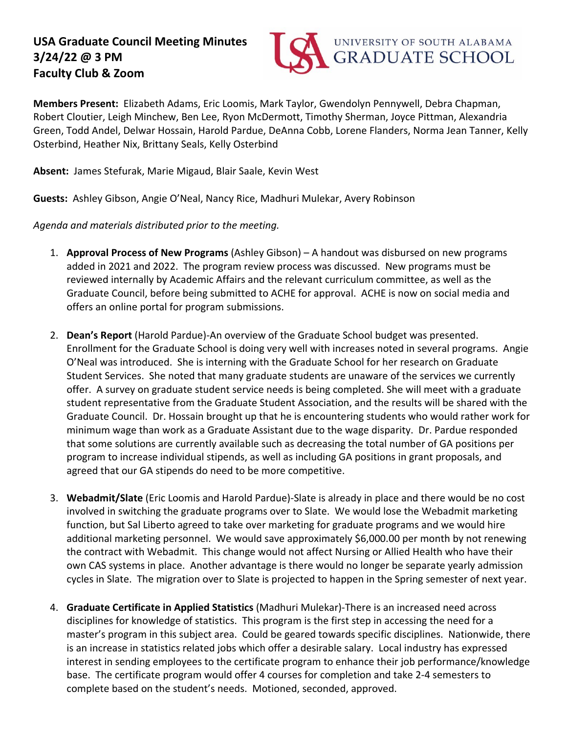## **USA Graduate Council Meeting Minutes 3/24/22 @ 3 PM Faculty Club & Zoom**



**Members Present:** Elizabeth Adams, Eric Loomis, Mark Taylor, Gwendolyn Pennywell, Debra Chapman, Robert Cloutier, Leigh Minchew, Ben Lee, Ryon McDermott, Timothy Sherman, Joyce Pittman, Alexandria Green, Todd Andel, Delwar Hossain, Harold Pardue, DeAnna Cobb, Lorene Flanders, Norma Jean Tanner, Kelly Osterbind, Heather Nix, Brittany Seals, Kelly Osterbind

**Absent:** James Stefurak, Marie Migaud, Blair Saale, Kevin West

**Guests:** Ashley Gibson, Angie O'Neal, Nancy Rice, Madhuri Mulekar, Avery Robinson

*Agenda and materials distributed prior to the meeting.* 

- 1. **Approval Process of New Programs** (Ashley Gibson) A handout was disbursed on new programs added in 2021 and 2022. The program review process was discussed. New programs must be reviewed internally by Academic Affairs and the relevant curriculum committee, as well as the Graduate Council, before being submitted to ACHE for approval. ACHE is now on social media and offers an online portal for program submissions.
- 2. **Dean's Report** (Harold Pardue)-An overview of the Graduate School budget was presented. Enrollment for the Graduate School is doing very well with increases noted in several programs. Angie O'Neal was introduced. She is interning with the Graduate School for her research on Graduate Student Services. She noted that many graduate students are unaware of the services we currently offer. A survey on graduate student service needs is being completed. She will meet with a graduate student representative from the Graduate Student Association, and the results will be shared with the Graduate Council. Dr. Hossain brought up that he is encountering students who would rather work for minimum wage than work as a Graduate Assistant due to the wage disparity. Dr. Pardue responded that some solutions are currently available such as decreasing the total number of GA positions per program to increase individual stipends, as well as including GA positions in grant proposals, and agreed that our GA stipends do need to be more competitive.
- 3. **Webadmit/Slate** (Eric Loomis and Harold Pardue)-Slate is already in place and there would be no cost involved in switching the graduate programs over to Slate. We would lose the Webadmit marketing function, but Sal Liberto agreed to take over marketing for graduate programs and we would hire additional marketing personnel. We would save approximately \$6,000.00 per month by not renewing the contract with Webadmit. This change would not affect Nursing or Allied Health who have their own CAS systems in place. Another advantage is there would no longer be separate yearly admission cycles in Slate. The migration over to Slate is projected to happen in the Spring semester of next year.
- 4. **Graduate Certificate in Applied Statistics** (Madhuri Mulekar)-There is an increased need across disciplines for knowledge of statistics. This program is the first step in accessing the need for a master's program in this subject area. Could be geared towards specific disciplines. Nationwide, there is an increase in statistics related jobs which offer a desirable salary. Local industry has expressed interest in sending employees to the certificate program to enhance their job performance/knowledge base. The certificate program would offer 4 courses for completion and take 2-4 semesters to complete based on the student's needs. Motioned, seconded, approved.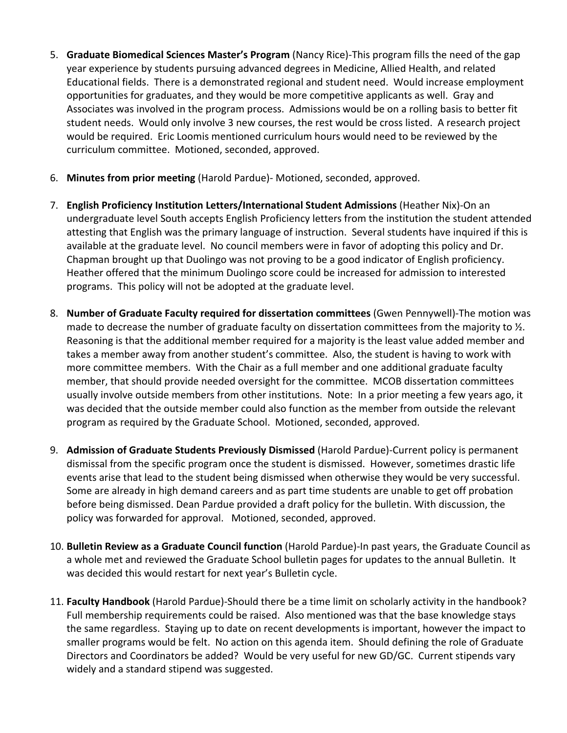- 5. **Graduate Biomedical Sciences Master's Program** (Nancy Rice)-This program fills the need of the gap year experience by students pursuing advanced degrees in Medicine, Allied Health, and related Educational fields. There is a demonstrated regional and student need. Would increase employment opportunities for graduates, and they would be more competitive applicants as well. Gray and Associates was involved in the program process. Admissions would be on a rolling basis to better fit student needs. Would only involve 3 new courses, the rest would be cross listed. A research project would be required. Eric Loomis mentioned curriculum hours would need to be reviewed by the curriculum committee. Motioned, seconded, approved.
- 6. **Minutes from prior meeting** (Harold Pardue)- Motioned, seconded, approved.
- 7. **English Proficiency Institution Letters/International Student Admissions** (Heather Nix)-On an undergraduate level South accepts English Proficiency letters from the institution the student attended attesting that English was the primary language of instruction. Several students have inquired if this is available at the graduate level. No council members were in favor of adopting this policy and Dr. Chapman brought up that Duolingo was not proving to be a good indicator of English proficiency. Heather offered that the minimum Duolingo score could be increased for admission to interested programs. This policy will not be adopted at the graduate level.
- 8. **Number of Graduate Faculty required for dissertation committees** (Gwen Pennywell)-The motion was made to decrease the number of graduate faculty on dissertation committees from the majority to  $\frac{1}{2}$ . Reasoning is that the additional member required for a majority is the least value added member and takes a member away from another student's committee. Also, the student is having to work with more committee members. With the Chair as a full member and one additional graduate faculty member, that should provide needed oversight for the committee. MCOB dissertation committees usually involve outside members from other institutions. Note: In a prior meeting a few years ago, it was decided that the outside member could also function as the member from outside the relevant program as required by the Graduate School. Motioned, seconded, approved.
- 9. **Admission of Graduate Students Previously Dismissed** (Harold Pardue)-Current policy is permanent dismissal from the specific program once the student is dismissed. However, sometimes drastic life events arise that lead to the student being dismissed when otherwise they would be very successful. Some are already in high demand careers and as part time students are unable to get off probation before being dismissed. Dean Pardue provided a draft policy for the bulletin. With discussion, the policy was forwarded for approval. Motioned, seconded, approved.
- 10. **Bulletin Review as a Graduate Council function** (Harold Pardue)-In past years, the Graduate Council as a whole met and reviewed the Graduate School bulletin pages for updates to the annual Bulletin. It was decided this would restart for next year's Bulletin cycle.
- 11. **Faculty Handbook** (Harold Pardue)-Should there be a time limit on scholarly activity in the handbook? Full membership requirements could be raised. Also mentioned was that the base knowledge stays the same regardless. Staying up to date on recent developments is important, however the impact to smaller programs would be felt. No action on this agenda item. Should defining the role of Graduate Directors and Coordinators be added? Would be very useful for new GD/GC. Current stipends vary widely and a standard stipend was suggested.